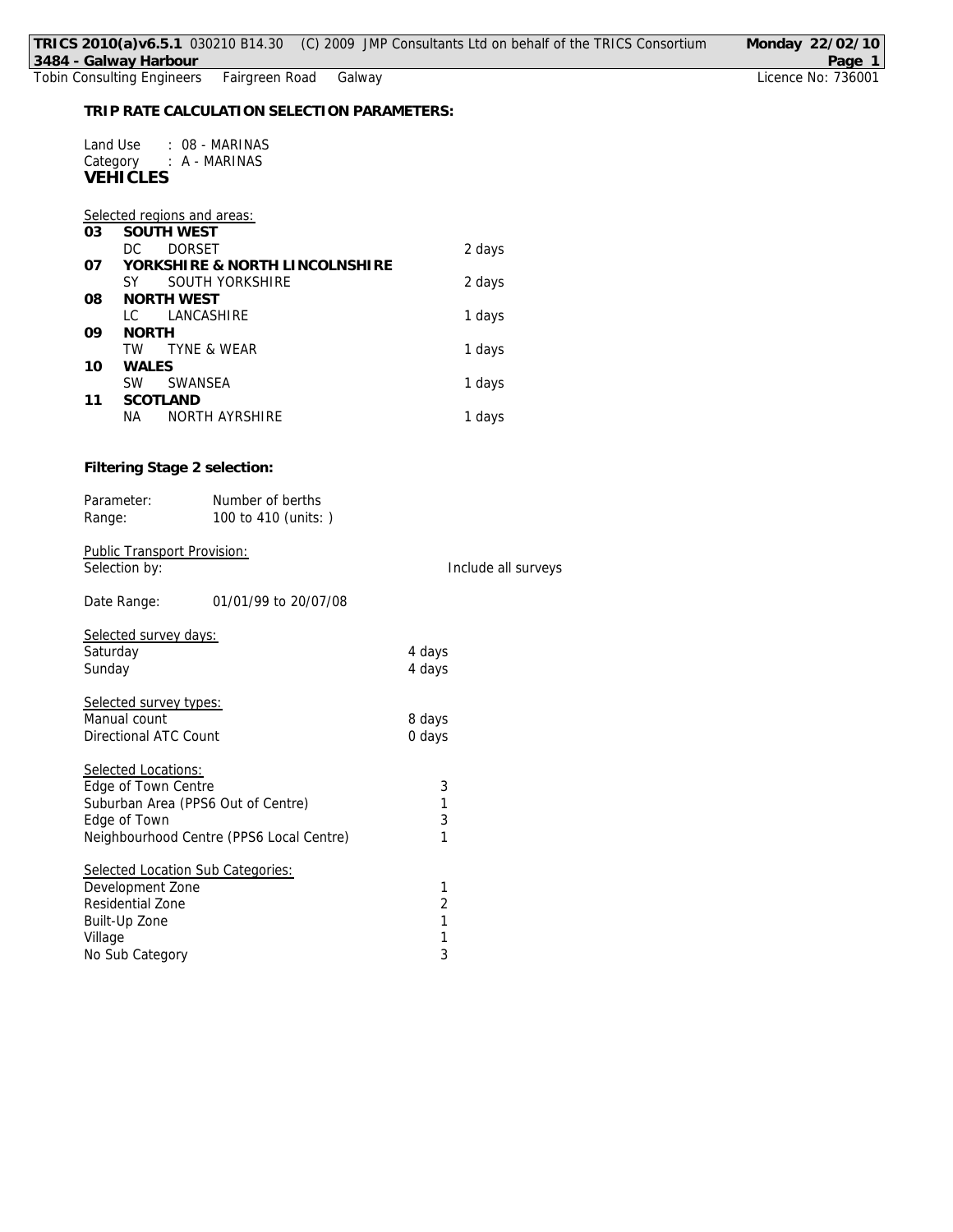|         |                                                               |                                             |                | TRICS 2010(a)v6.5.1 030210 B14.30 (C) 2009 JMP Consultants Ltd on behalf of the TRICS Consortium | Monday 22/02/10              |
|---------|---------------------------------------------------------------|---------------------------------------------|----------------|--------------------------------------------------------------------------------------------------|------------------------------|
|         | 3484 - Galway Harbour                                         |                                             |                |                                                                                                  | Page 1<br>Licence No: 736001 |
|         | Fairgreen Road<br><b>Tobin Consulting Engineers</b><br>Galway |                                             |                |                                                                                                  |                              |
|         |                                                               | TRIP RATE CALCULATION SELECTION PARAMETERS: |                |                                                                                                  |                              |
|         | Land Use                                                      |                                             |                |                                                                                                  |                              |
|         | Category : A - MARINAS                                        | : 08 - MARINAS                              |                |                                                                                                  |                              |
|         | <b>VEHICLES</b>                                               |                                             |                |                                                                                                  |                              |
|         |                                                               |                                             |                |                                                                                                  |                              |
|         | Selected regions and areas:                                   |                                             |                |                                                                                                  |                              |
| 03      | <b>SOUTH WEST</b>                                             |                                             |                |                                                                                                  |                              |
|         | <b>DORSET</b><br>DC                                           |                                             |                | 2 days                                                                                           |                              |
| 07      |                                                               | YORKSHIRE & NORTH LINCOLNSHIRE              |                |                                                                                                  |                              |
|         | SY.                                                           | SOUTH YORKSHIRE                             |                | 2 days                                                                                           |                              |
| 08      | NORTH WEST                                                    |                                             |                |                                                                                                  |                              |
|         | LC                                                            | LANCASHIRE                                  |                | 1 days                                                                                           |                              |
| 09      | <b>NORTH</b>                                                  |                                             |                |                                                                                                  |                              |
|         | TW                                                            | TYNE & WEAR                                 |                | 1 days                                                                                           |                              |
| 10      | WALES                                                         |                                             |                |                                                                                                  |                              |
|         | SW                                                            | SWANSEA                                     |                | 1 days                                                                                           |                              |
| 11      | SCOTLAND                                                      |                                             |                |                                                                                                  |                              |
|         | NА                                                            | NORTH AYRSHIRE                              |                | 1 days                                                                                           |                              |
|         |                                                               |                                             |                |                                                                                                  |                              |
|         | Filtering Stage 2 selection:                                  |                                             |                |                                                                                                  |                              |
|         | Parameter:                                                    | Number of berths                            |                |                                                                                                  |                              |
|         | Range:                                                        | 100 to 410 (units: )                        |                |                                                                                                  |                              |
|         |                                                               |                                             |                |                                                                                                  |                              |
|         | Public Transport Provision:                                   |                                             |                |                                                                                                  |                              |
|         | Selection by:                                                 |                                             |                | Include all surveys                                                                              |                              |
|         |                                                               |                                             |                |                                                                                                  |                              |
|         | Date Range:                                                   | 01/01/99 to 20/07/08                        |                |                                                                                                  |                              |
|         |                                                               |                                             |                |                                                                                                  |                              |
|         | Selected survey days:                                         |                                             |                |                                                                                                  |                              |
|         | Saturday                                                      |                                             | 4 days         |                                                                                                  |                              |
|         | Sunday                                                        |                                             | 4 days         |                                                                                                  |                              |
|         |                                                               |                                             |                |                                                                                                  |                              |
|         | Selected survey types:                                        |                                             |                |                                                                                                  |                              |
|         | Manual count                                                  |                                             | 8 days         |                                                                                                  |                              |
|         | Directional ATC Count                                         |                                             | 0 days         |                                                                                                  |                              |
|         |                                                               |                                             |                |                                                                                                  |                              |
|         | Selected Locations:                                           |                                             |                |                                                                                                  |                              |
|         | Edge of Town Centre                                           | Suburban Area (PPS6 Out of Centre)          | 3<br>1         |                                                                                                  |                              |
|         | Edge of Town                                                  |                                             | 3              |                                                                                                  |                              |
|         |                                                               | Neighbourhood Centre (PPS6 Local Centre)    | 1              |                                                                                                  |                              |
|         |                                                               |                                             |                |                                                                                                  |                              |
|         |                                                               | Selected Location Sub Categories:           |                |                                                                                                  |                              |
|         | Development Zone                                              |                                             | 1              |                                                                                                  |                              |
|         | Residential Zone                                              |                                             | $\overline{2}$ |                                                                                                  |                              |
|         | Built-Up Zone                                                 |                                             | 1              |                                                                                                  |                              |
| Village |                                                               |                                             | 1              |                                                                                                  |                              |
|         | No Sub Category                                               |                                             | 3              |                                                                                                  |                              |
|         |                                                               |                                             |                |                                                                                                  |                              |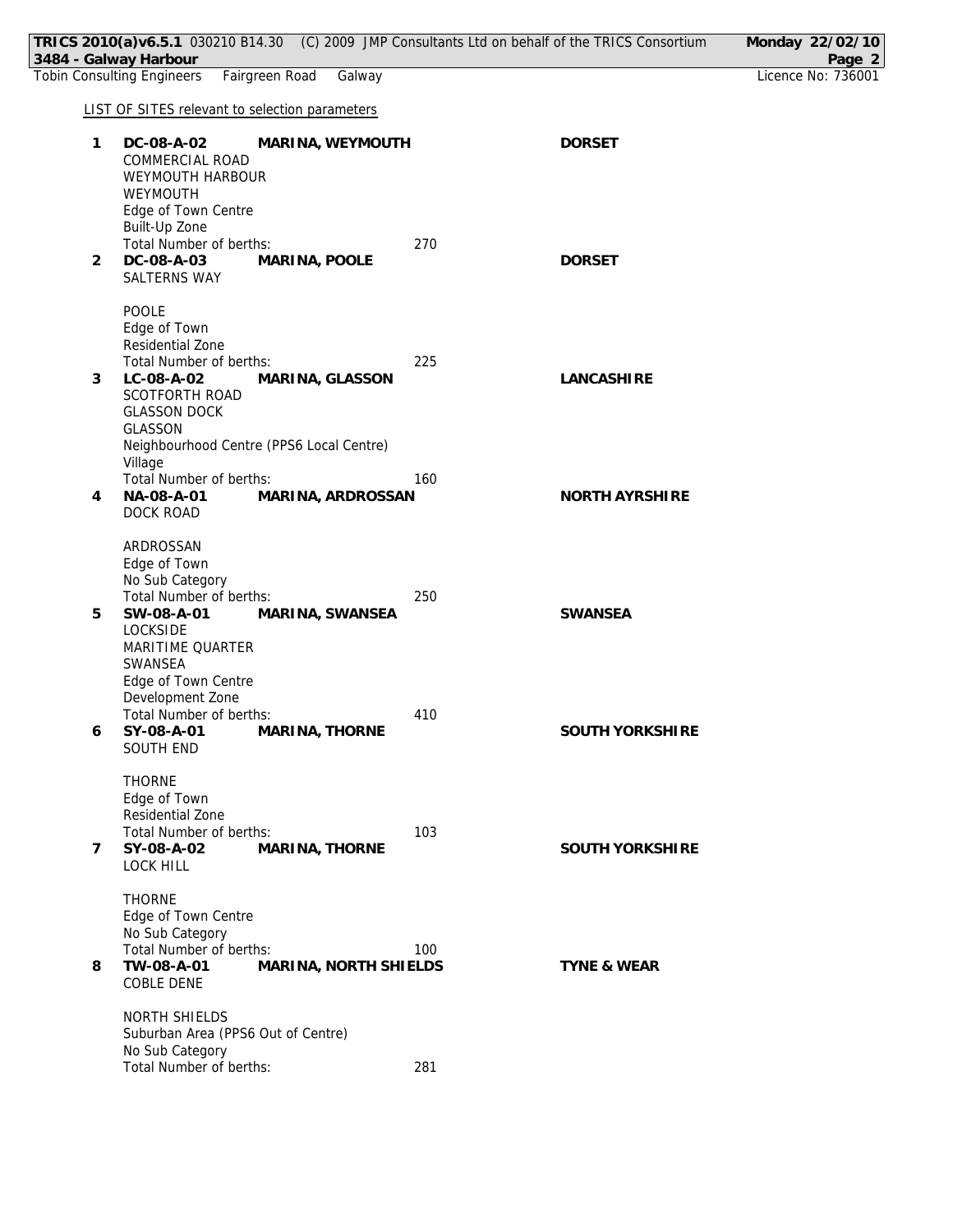|                | TRICS 2010(a)v6.5.1 030210 B14.30 (C) 2009 JMP Consultants Ltd on behalf of the TRICS Consortium<br>3484 - Galway Harbour                                                  |     |                        | Monday 22/02/10<br>Page 2 |
|----------------|----------------------------------------------------------------------------------------------------------------------------------------------------------------------------|-----|------------------------|---------------------------|
|                | <b>Tobin Consulting Engineers</b><br>Fairgreen Road<br>Galway                                                                                                              |     |                        | Licence No: 736001        |
|                | <b>LIST OF SITES relevant to selection parameters</b>                                                                                                                      |     |                        |                           |
| 1              | DC-08-A-02<br>MARINA, WEYMOUTH<br>COMMERCIAL ROAD<br>WEYMOUTH HARBOUR<br>WEYMOUTH<br>Edge of Town Centre<br>Built-Up Zone                                                  |     | <b>DORSET</b>          |                           |
| $\overline{2}$ | Total Number of berths:<br>DC-08-A-03<br>MARINA, POOLE<br>SALTERNS WAY                                                                                                     | 270 | <b>DORSET</b>          |                           |
| 3              | POOLE<br>Edge of Town<br>Residential Zone<br>Total Number of berths:<br>LC-08-A-02<br>MARINA, GLASSON<br>SCOTFORTH ROAD<br><b>GLASSON DOCK</b><br><b>GLASSON</b>           | 225 | <b>LANCASHIRE</b>      |                           |
| 4              | Neighbourhood Centre (PPS6 Local Centre)<br>Village<br>Total Number of berths:<br>NA-08-A-01<br>MARINA, ARDROSSAN<br>DOCK ROAD                                             | 160 | NORTH AYRSHIRE         |                           |
| 5              | ARDROSSAN<br>Edge of Town<br>No Sub Category<br>Total Number of berths:<br>SW-08-A-01<br>MARINA, SWANSEA<br>LOCKSIDE<br>MARITIME QUARTER<br>SWANSEA<br>Edge of Town Centre | 250 | SWANSEA                |                           |
| 6              | Development Zone<br>Total Number of berths:<br>SY-08-A-01 MARINA, THORNE<br>SOUTH END                                                                                      | 410 | SOUTH YORKSHIRE        |                           |
| $\overline{7}$ | <b>THORNE</b><br>Edge of Town<br>Residential Zone<br>Total Number of berths:<br>SY-08-A-02<br>MARINA, THORNE<br><b>LOCK HILL</b>                                           | 103 | SOUTH YORKSHIRE        |                           |
| 8              | <b>THORNE</b><br>Edge of Town Centre<br>No Sub Category<br>Total Number of berths:<br>TW-08-A-01<br>MARINA, NORTH SHIELDS<br>COBLE DENE                                    | 100 | <b>TYNE &amp; WEAR</b> |                           |
|                | NORTH SHIELDS<br>Suburban Area (PPS6 Out of Centre)<br>No Sub Category<br>Total Number of berths:                                                                          | 281 |                        |                           |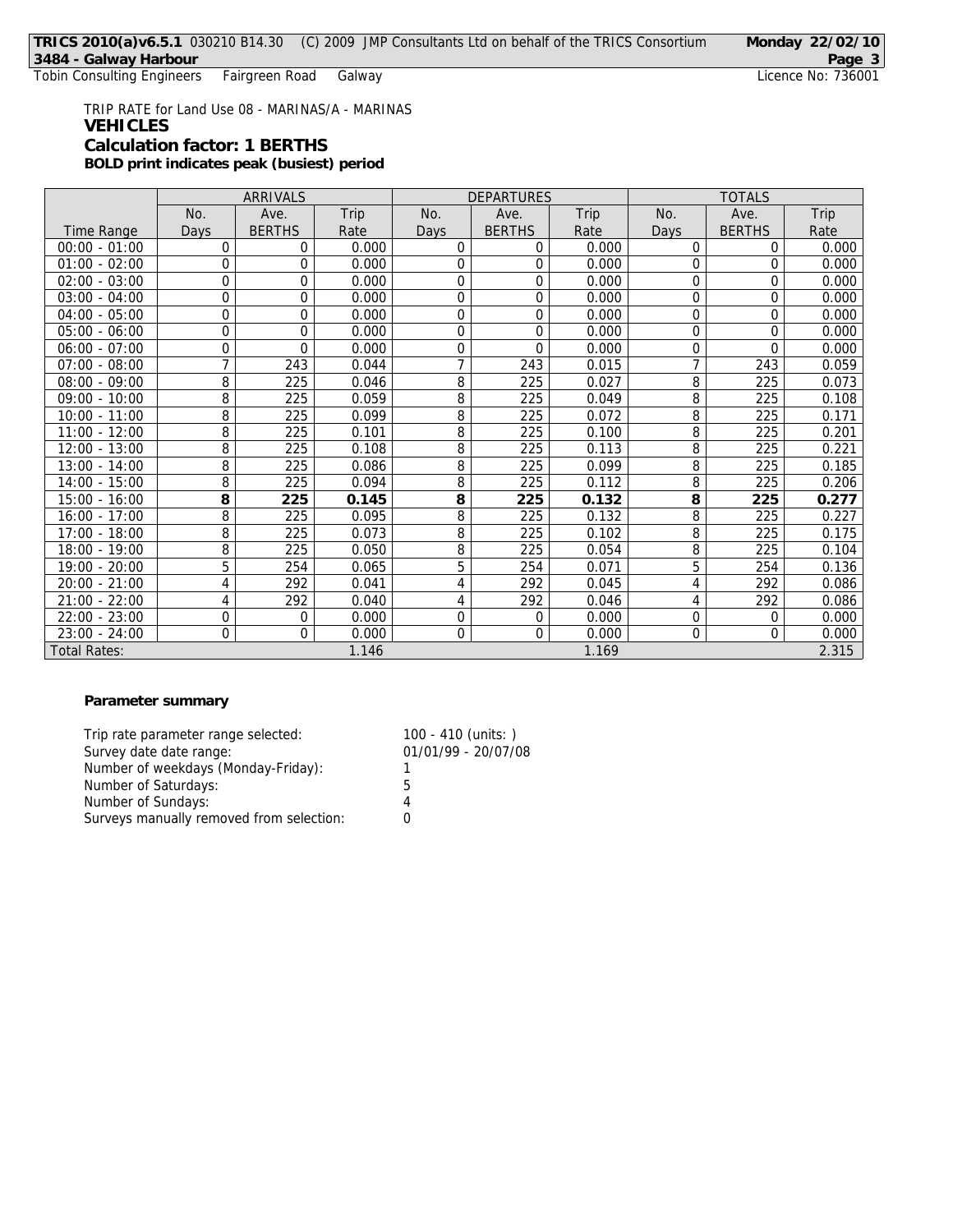Tobin Consulting Engineers Fairgreen Road Galway

TRIP RATE for Land Use 08 - MARINAS/A - MARINAS **VEHICLES Calculation factor: 1 BERTHS BOLD print indicates peak (busiest) period**

|                     | ARRIVALS         |               |       | <b>DEPARTURES</b> |                |       | <b>TOTALS</b>    |                |       |
|---------------------|------------------|---------------|-------|-------------------|----------------|-------|------------------|----------------|-------|
|                     | No.              | Ave.          | Trip  | No.               | Ave.           | Trip  | No.              | Ave.           | Trip  |
| Time Range          | Days             | <b>BERTHS</b> | Rate  | Days              | <b>BERTHS</b>  | Rate  | Days             | <b>BERTHS</b>  | Rate  |
| $00:00 - 01:00$     | 0                | 0             | 0.000 | $\Omega$          | 0              | 0.000 | $\Omega$         | $\Omega$       | 0.000 |
| $01:00 - 02:00$     | 0                | $\Omega$      | 0.000 | 0                 | 0              | 0.000 | 0                | $\overline{0}$ | 0.000 |
| $02:00 - 03:00$     | $\boldsymbol{0}$ | 0             | 0.000 | 0                 | 0              | 0.000 | 0                | $\overline{0}$ | 0.000 |
| $03:00 - 04:00$     | 0                | 0             | 0.000 | 0                 | 0              | 0.000 | 0                | $\Omega$       | 0.000 |
| $04:00 - 05:00$     | $\boldsymbol{0}$ | 0             | 0.000 | 0                 | 0              | 0.000 | $\overline{0}$   | $\mathbf 0$    | 0.000 |
| $05:00 - 06:00$     | $\overline{0}$   | $\Omega$      | 0.000 | 0                 | $\overline{0}$ | 0.000 | 0                | $\overline{0}$ | 0.000 |
| $06:00 - 07:00$     | $\overline{0}$   | $\Omega$      | 0.000 | 0                 | 0              | 0.000 | 0                | $\Omega$       | 0.000 |
| $07:00 - 08:00$     | $\overline{7}$   | 243           | 0.044 | 7                 | 243            | 0.015 | 7                | 243            | 0.059 |
| $08:00 - 09:00$     | 8                | 225           | 0.046 | 8                 | 225            | 0.027 | 8                | 225            | 0.073 |
| $09:00 - 10:00$     | 8                | 225           | 0.059 | 8                 | 225            | 0.049 | 8                | 225            | 0.108 |
| $10:00 - 11:00$     | 8                | 225           | 0.099 | 8                 | 225            | 0.072 | 8                | 225            | 0.171 |
| $11:00 - 12:00$     | 8                | 225           | 0.101 | 8                 | 225            | 0.100 | 8                | 225            | 0.201 |
| $12:00 - 13:00$     | 8                | 225           | 0.108 | 8                 | 225            | 0.113 | 8                | 225            | 0.221 |
| $13:00 - 14:00$     | 8                | 225           | 0.086 | 8                 | 225            | 0.099 | 8                | 225            | 0.185 |
| $14:00 - 15:00$     | 8                | 225           | 0.094 | 8                 | 225            | 0.112 | 8                | 225            | 0.206 |
| $15:00 - 16:00$     | 8                | 225           | 0.145 | 8                 | 225            | 0.132 | 8                | 225            | 0.277 |
| $16:00 - 17:00$     | 8                | 225           | 0.095 | 8                 | 225            | 0.132 | 8                | 225            | 0.227 |
| $17:00 - 18:00$     | 8                | 225           | 0.073 | 8                 | 225            | 0.102 | 8                | 225            | 0.175 |
| 18:00 - 19:00       | 8                | 225           | 0.050 | 8                 | 225            | 0.054 | 8                | 225            | 0.104 |
| 19:00 - 20:00       | 5                | 254           | 0.065 | 5                 | 254            | 0.071 | 5                | 254            | 0.136 |
| $20:00 - 21:00$     | 4                | 292           | 0.041 | 4                 | 292            | 0.045 | 4                | 292            | 0.086 |
| $21:00 - 22:00$     | 4                | 292           | 0.040 | 4                 | 292            | 0.046 | 4                | 292            | 0.086 |
| $22:00 - 23:00$     | 0                | 0             | 0.000 | 0                 | 0              | 0.000 | 0                | 0              | 0.000 |
| $23:00 - 24:00$     | $\boldsymbol{0}$ | 0             | 0.000 | 0                 | 0              | 0.000 | $\boldsymbol{0}$ | $\Omega$       | 0.000 |
| <b>Total Rates:</b> |                  |               | 1.146 |                   |                | 1.169 |                  |                | 2.315 |

## **Parameter summary**

| Trip rate parameter range selected:      | $100 - 410$ (units: ) |
|------------------------------------------|-----------------------|
| Survey date date range:                  | 01/01/99 - 20/07/08   |
| Number of weekdays (Monday-Friday):      |                       |
| Number of Saturdays:                     | 5                     |
| Number of Sundays:                       | 4                     |
| Surveys manually removed from selection: |                       |
|                                          |                       |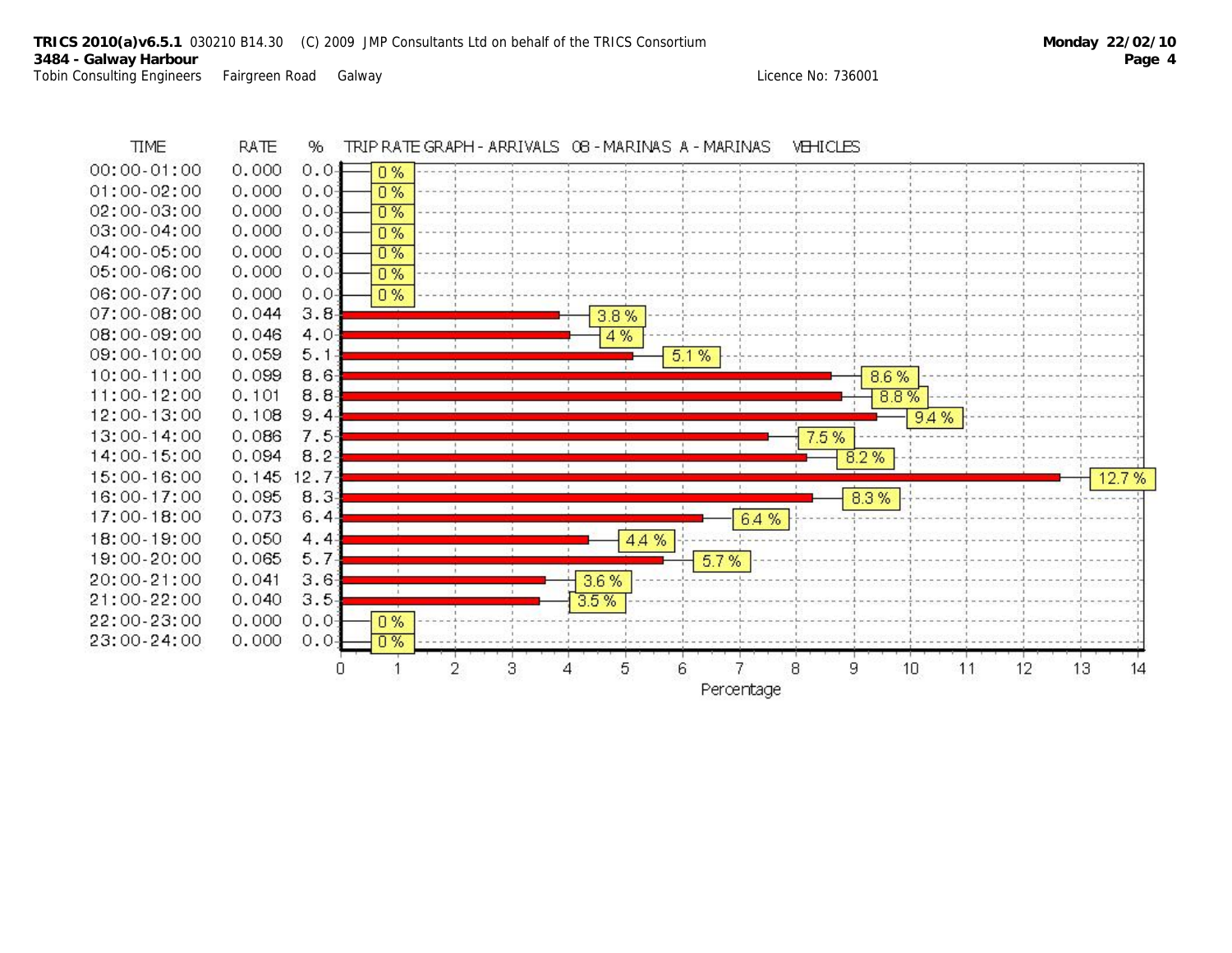

Percentage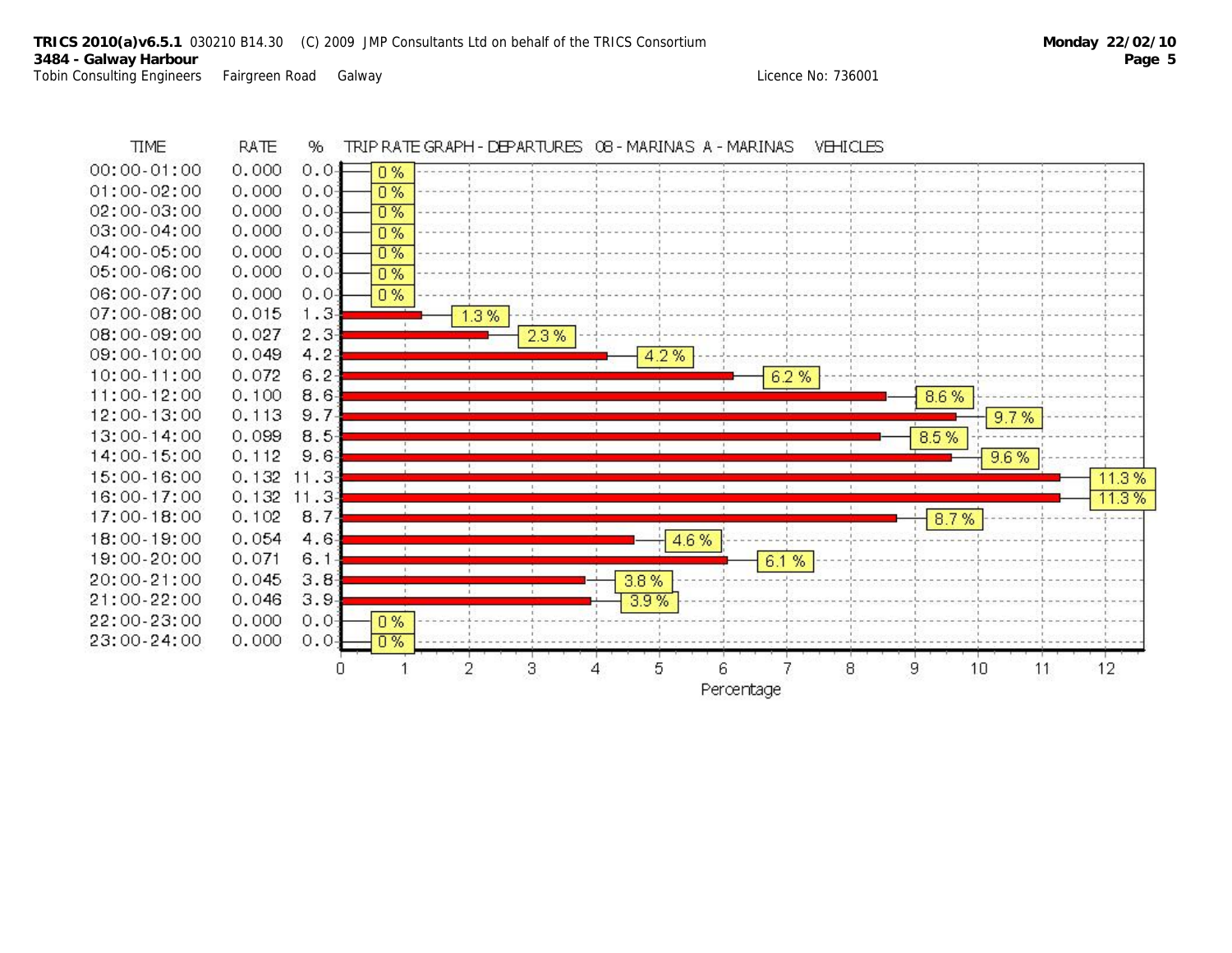